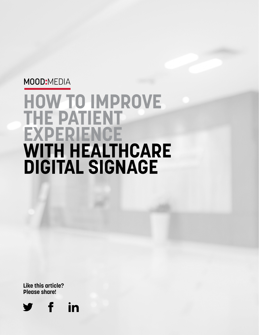# MOOD:MEDIA

# **HOW TO IMPROVE THE PATIENT EXPERIENCE WITH HEALTHCARE DIGITAL SIGNAGE**

**Like this article? Please share!**

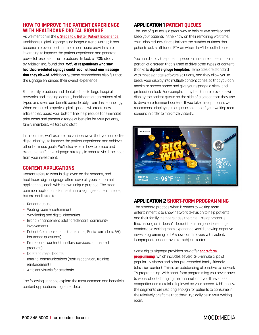## **HOW TO IMPROVE THE PATIENT EXPERIENCE WITH HEALTHCARE DIGITAL SIGNAGE**

As we mention in the [6 Steps to a Better Patient Experience](https://us.moodmedia.com/healthcare/6-steps-to-a-better-patient-experience/), Healthcare Digital Signage is no longer a trend. Rather, it has become a proven tool that more healthcare providers are leveraging to improve the patient experience and generate powerful results for their practices. In fact, a 2015 study by Arbitron Inc. found that **75% of respondents who saw healthcare-related signage could recall at least one message that they viewed**. Additionally, these respondents also felt that the signage enhanced their overall experience

From family practices and dental offices to large hospital networks and imaging centers, healthcare organizations of all types and sizes can benefit considerably from this technology. When executed properly, digital signage will create new efficiencies, boost your bottom line, help reduce (or eliminate) print costs and present a range of benefits for your patients, family members, visitors and staff.

In this article, we'll explore the various ways that you can utilize digital displays to improve the patient experience and achieve other business goals. We'll also explain how to create and execute an effective signage strategy in order to yield the most from your investment.

# **CONTENT APPLICATIONS**

Content refers to what is displayed on the screens, and healthcare digital signage offers several types of content applications, each with its own unique purpose. The most common applications for healthcare signage content include, but are not limited to:

- + Patient queues
- + Waiting room entertainment
- + Wayfinding and digital directories
- + Brand Enhancement (staff credentials, community involvement)
- + Patient Communications (health tips, Basic reminders, FAQs insurance questions)
- + Promotional content (ancillary services, sponsored products)
- + Cafeteria menu boards
- + Internal communications (staff recognition, training reinforcement)
- + Ambient visuals for aesthetic

The following sections explore the most common and beneficial content applications in greater detail.

# **APPLICATION 1 PATIENT QUEUES**

The use of queues is a great way to help relieve anxiety and keep your patients in the know on their remaining wait time. You'll also reduce, if not eliminate the number of times that patients ask staff for an ETA on when they'll be called back.

You can display the patient queue on an entire screen or on a portion of a screen that is used to drive other types of content, thanks to **digital signage templates**. Templates are standard with most signage software solutions, and they allow you to break your display into multiple content zones so that you can maximize screen space and give your signage a sleek and professional look. For example, many healthcare providers will display the patient queue on the side of a screen that they use to drive entertainment content. If you take this approach, we recommend displaying the queue on each of your waiting room screens in order to maximize visibility.



# **APPLICATION 2 SHORT-FORM PROGRAMMING**

The standard practice when it comes to waiting room entertainment is to show network television to help patients and their family members pass the time. This approach is fine, as long as it doesn't detract from the goal of creating a comfortable waiting room experience. Avoid showing negative news programming or TV shows and movies with violent, inappropriate or controversial subject matter.

Some digital signage providers now offer **[short-form](https://us.moodmedia.com/healthcare/mood-tv-for-healthcare/)  [programming](https://us.moodmedia.com/healthcare/mood-tv-for-healthcare/)**, which includes several 2-5-minute clips of popular TV shows and other pre-recorded family-friendly television content. This is an outstanding alternative to network TV programming. With short-form programming you never have to worry about changing the channel, and you'll never see competitor commercials displayed on your screen. Additionally, the segments are just long enough for patients to consume in the relatively brief time that they'll typically be in your waiting room.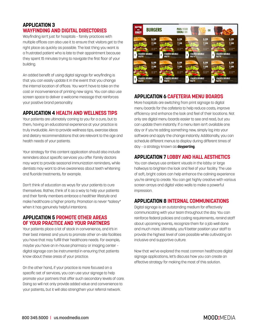# **APPLICATION 3 WAYFINDING AND DIGITAL DIRECTORIES**

Wayfinding isn't just for hospitals – family practices with multiple offices can also use it to ensure that visitors get to the right place as quickly as possible. The last thing you want is a frustrated patient who is late to their appointment because they spent 15 minutes trying to navigate the first floor of your building.

An added benefit of using digital signage for wayfinding is that you can easily update it in the event that you change the internal location of offices. You won't have to take on the cost or inconvenience of printing new signs. You can also use screen space to deliver a welcome message that reinforces your positive brand personality.

### **APPLICATION 4 HEALTH AND WELLNESS TIPS**

Your patients are ultimately coming to you for a cure, but to them, having an educational experience at your practice is truly invaluable. Aim to provide wellness tips, exercise ideas and dietary recommendations that are relevant to the age and health needs of your patients.

Your strategy for this content application should also include reminders about specific services you offer. Family doctors may want to provide seasonal immunization reminders, while dentists may want to drive awareness about teeth whitening and fluoride treatments, for example.

Don't think of education as ways for your patients to cure themselves. Rather, think of it as a way to help your patients and their family members embrace a healthier lifestyle and make healthcare a higher priority. Promotion is never "salesy" when it has genuinely helpful intentions.

#### **APPLICATION 5 PROMOTE OTHER AREAS OF YOUR PRACTICE AND YOUR PARTNERS**

Your patients place a lot of stock in convenience, and it's in their best interest and yours to promote other on-site facilities you have that may fulfill their healthcare needs. For example, maybe you have an in-house pharmacy or imaging center – digital signage can be instrumental in ensuring that patients know about these areas of your practice.

On the other hand, if your practice is more focused on a specific set of services, you can use your signage to help promote your partners that offer such secondary levels of care. Doing so will not only provide added value and convenience to your patients, but it will also strengthen your referral network.



# **APPLICATION 6 CAFETERIA MENU BOARDS**

More hospitals are switching from print signage to digital menu boards for the cafeteria to help reduce costs, improve efficiency and enhance the look and feel of their locations. Not only are digital menu boards easier to see and read, but you can update them instantly. If a menu item isn't available one day or if you're adding something new, simply log into your software and apply the change instantly. Additionally, you can schedule different menus to display during different times of day – a strategy known as **dayparting**.

### **APPLICATION 7 LOBBY AND HALL AESTHETICS**

You can always use ambient visuals in the lobby or large hallways to brighten the look and feel of your facility. The use of soft, bright colors can help enhance the calming experience you're aiming to create. You can get highly creative with various screen arrays and digital video walls to make a powerful impression.

# **APPLICATION 8 INTERNAL COMMUNICATIONS**

Digital signage is an outstanding medium for effectively communicating with your team throughout the day. You can reinforce federal policies and coding requirements, remind staff about upcoming events, recognize them for a job well done and much more. Ultimately, you'll better position your staff to provide the highest level of care possible while cultivating an inclusive and supportive culture.

Now that we've explored the most common healthcare digital signage applications, let's discuss how you can create an effective strategy for making the most of this solution.